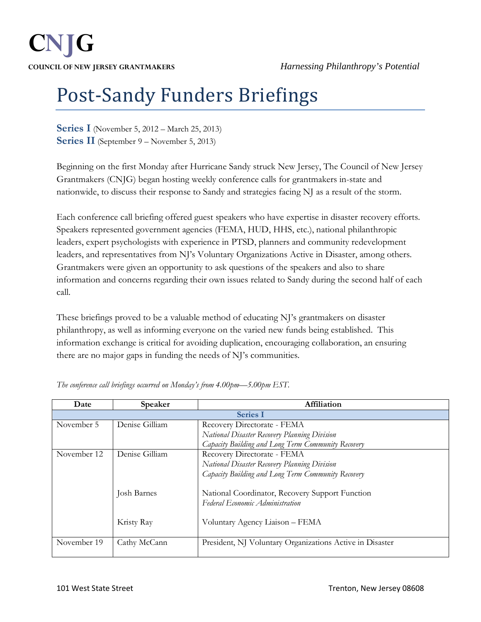## Post-Sandy Funders Briefings

**Series I** (November 5, 2012 – March 25, 2013) **Series II** (September 9 – November 5, 2013)

Beginning on the first Monday after Hurricane Sandy struck New Jersey, The Council of New Jersey Grantmakers (CNJG) began hosting weekly conference calls for grantmakers in-state and nationwide, to discuss their response to Sandy and strategies facing NJ as a result of the storm.

Each conference call briefing offered guest speakers who have expertise in disaster recovery efforts. Speakers represented government agencies (FEMA, HUD, HHS, etc.), national philanthropic leaders, expert psychologists with experience in PTSD, planners and community redevelopment leaders, and representatives from NJ's Voluntary Organizations Active in Disaster, among others. Grantmakers were given an opportunity to ask questions of the speakers and also to share information and concerns regarding their own issues related to Sandy during the second half of each call.

These briefings proved to be a valuable method of educating NJ's grantmakers on disaster philanthropy, as well as informing everyone on the varied new funds being established. This information exchange is critical for avoiding duplication, encouraging collaboration, an ensuring there are no major gaps in funding the needs of NJ's communities.

| Date            | Speaker        | Affiliation                                              |  |  |
|-----------------|----------------|----------------------------------------------------------|--|--|
| <b>Series I</b> |                |                                                          |  |  |
| November 5      | Denise Gilliam | Recovery Directorate - FEMA                              |  |  |
|                 |                | National Disaster Recovery Planning Division             |  |  |
|                 |                | Capacity Building and Long Term Community Recovery       |  |  |
| November 12     | Denise Gilliam | Recovery Directorate - FEMA                              |  |  |
|                 |                | National Disaster Recovery Planning Division             |  |  |
|                 |                | Capacity Building and Long Term Community Recovery       |  |  |
|                 | Josh Barnes    | National Coordinator, Recovery Support Function          |  |  |
|                 |                | Federal Economic Administration                          |  |  |
|                 | Kristy Ray     | Voluntary Agency Liaison - FEMA                          |  |  |
| November 19     | Cathy McCann   | President, NJ Voluntary Organizations Active in Disaster |  |  |

*The conference call briefings occurred on Monday's from 4.00pm—5.00pm EST.*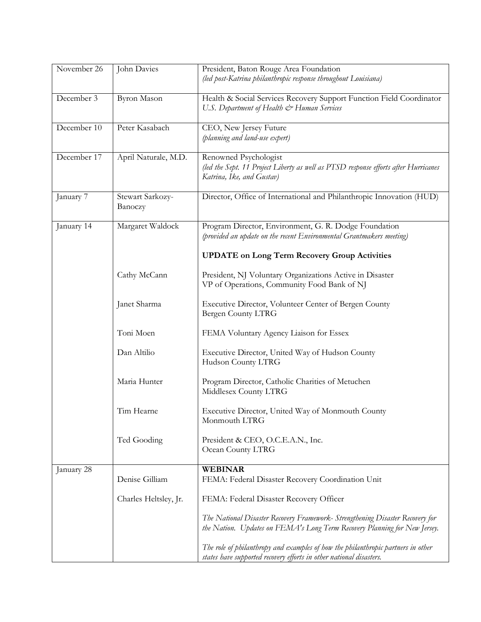| November 26 | John Davies                 | President, Baton Rouge Area Foundation<br>(led post-Katrina philanthropic response throughout Louisiana)                                                   |
|-------------|-----------------------------|------------------------------------------------------------------------------------------------------------------------------------------------------------|
| December 3  | <b>Byron Mason</b>          | Health & Social Services Recovery Support Function Field Coordinator<br>U.S. Department of Health & Human Services                                         |
| December 10 | Peter Kasabach              | CEO, New Jersey Future<br>(planning and land-use expert)                                                                                                   |
| December 17 | April Naturale, M.D.        | Renowned Psychologist<br>(led the Sept. 11 Project Liberty as well as PTSD response efforts after Hurricanes<br>Katrina, Ike, and Gustav)                  |
| January 7   | Stewart Sarkozy-<br>Banoczy | Director, Office of International and Philanthropic Innovation (HUD)                                                                                       |
| January 14  | Margaret Waldock            | Program Director, Environment, G. R. Dodge Foundation<br>(provided an update on the recent Environmental Grantmakers meeting)                              |
|             |                             | <b>UPDATE</b> on Long Term Recovery Group Activities                                                                                                       |
|             | Cathy McCann                | President, NJ Voluntary Organizations Active in Disaster<br>VP of Operations, Community Food Bank of NJ                                                    |
|             | Janet Sharma                | Executive Director, Volunteer Center of Bergen County<br>Bergen County LTRG                                                                                |
|             | Toni Moen                   | FEMA Voluntary Agency Liaison for Essex                                                                                                                    |
|             | Dan Altilio                 | Executive Director, United Way of Hudson County<br>Hudson County LTRG                                                                                      |
|             | Maria Hunter                | Program Director, Catholic Charities of Metuchen<br>Middlesex County LTRG                                                                                  |
|             | Tim Hearne                  | Executive Director, United Way of Monmouth County<br>Monmouth LTRG                                                                                         |
|             | Ted Gooding                 | President & CEO, O.C.E.A.N., Inc.<br>Ocean County LTRG                                                                                                     |
| January 28  | Denise Gilliam              | <b>WEBINAR</b><br>FEMA: Federal Disaster Recovery Coordination Unit                                                                                        |
|             | Charles Heltsley, Jr.       | FEMA: Federal Disaster Recovery Officer                                                                                                                    |
|             |                             | The National Disaster Recovery Framework- Strengthening Disaster Recovery for<br>the Nation. Updates on FEMA's Long Term Recovery Planning for New Jersey. |
|             |                             | The role of philanthropy and examples of how the philanthropic partners in other<br>states have supported recovery efforts in other national disasters.    |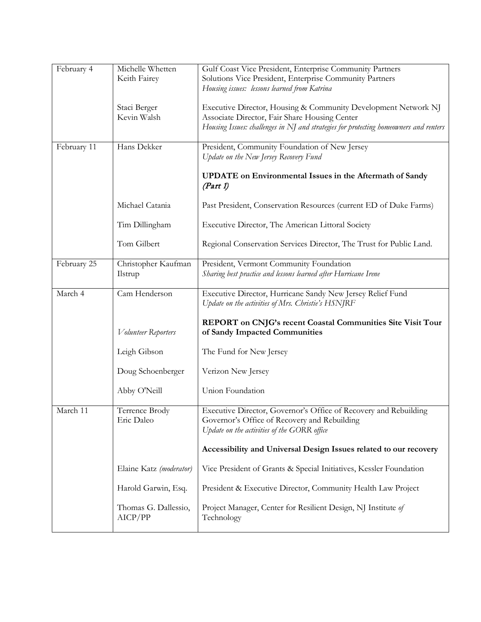| February 4  | Michelle Whetten<br>Keith Fairey | Gulf Coast Vice President, Enterprise Community Partners<br>Solutions Vice President, Enterprise Community Partners<br>Housing issues: lessons learned from Katrina                                      |
|-------------|----------------------------------|----------------------------------------------------------------------------------------------------------------------------------------------------------------------------------------------------------|
|             | Staci Berger<br>Kevin Walsh      | Executive Director, Housing & Community Development Network NJ<br>Associate Director, Fair Share Housing Center<br>Housing Issues: challenges in NJ and strategies for protecting homeowners and renters |
| February 11 | Hans Dekker                      | President, Community Foundation of New Jersey<br>Update on the New Jersey Recovery Fund                                                                                                                  |
|             |                                  | <b>UPDATE</b> on Environmental Issues in the Aftermath of Sandy<br>(Part 1)                                                                                                                              |
|             | Michael Catania                  | Past President, Conservation Resources (current ED of Duke Farms)                                                                                                                                        |
|             | Tim Dillingham                   | Executive Director, The American Littoral Society                                                                                                                                                        |
|             | Tom Gilbert                      | Regional Conservation Services Director, The Trust for Public Land.                                                                                                                                      |
| February 25 | Christopher Kaufman<br>Ilstrup   | President, Vermont Community Foundation<br>Sharing best practice and lessons learned after Hurricane Irene                                                                                               |
| March 4     | Cam Henderson                    | Executive Director, Hurricane Sandy New Jersey Relief Fund<br>Update on the activities of Mrs. Christie's HSNJRF                                                                                         |
|             | <i>Volunteer</i> Reporters       | REPORT on CNJG's recent Coastal Communities Site Visit Tour<br>of Sandy Impacted Communities                                                                                                             |
|             | Leigh Gibson                     | The Fund for New Jersey                                                                                                                                                                                  |
|             | Doug Schoenberger                | Verizon New Jersey                                                                                                                                                                                       |
|             | Abby O'Neill                     | Union Foundation                                                                                                                                                                                         |
| March 11    | Terrence Brody<br>Eric Daleo     | Executive Director, Governor's Office of Recovery and Rebuilding<br>Governor's Office of Recovery and Rebuilding<br>Update on the activities of the GORR office                                          |
|             |                                  | Accessibility and Universal Design Issues related to our recovery                                                                                                                                        |
|             | Elaine Katz (moderator)          | Vice President of Grants & Special Initiatives, Kessler Foundation                                                                                                                                       |
|             | Harold Garwin, Esq.              | President & Executive Director, Community Health Law Project                                                                                                                                             |
|             | Thomas G. Dallessio,<br>AICP/PP  | Project Manager, Center for Resilient Design, NJ Institute of<br>Technology                                                                                                                              |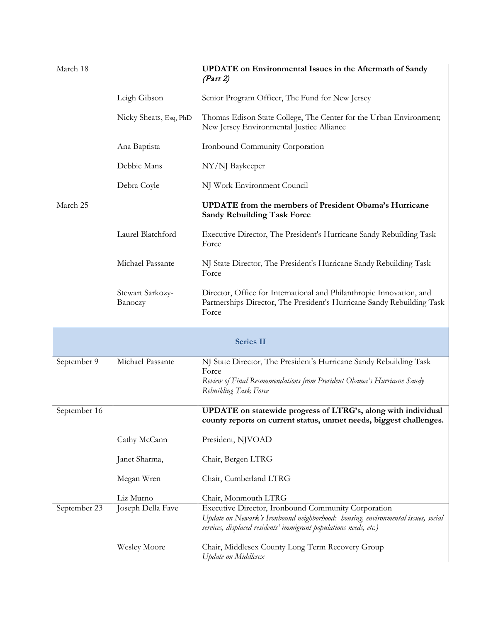| March 18     |                             | <b>UPDATE</b> on Environmental Issues in the Aftermath of Sandy                                                                                         |
|--------------|-----------------------------|---------------------------------------------------------------------------------------------------------------------------------------------------------|
|              |                             | (Part 2)                                                                                                                                                |
|              |                             |                                                                                                                                                         |
|              | Leigh Gibson                | Senior Program Officer, The Fund for New Jersey                                                                                                         |
|              | Nicky Sheats, Esq, PhD      | Thomas Edison State College, The Center for the Urban Environment;<br>New Jersey Environmental Justice Alliance                                         |
|              | Ana Baptista                | Ironbound Community Corporation                                                                                                                         |
|              | Debbie Mans                 | NY/NJ Baykeeper                                                                                                                                         |
|              | Debra Coyle                 | NJ Work Environment Council                                                                                                                             |
| March 25     |                             | <b>UPDATE</b> from the members of President Obama's Hurricane<br><b>Sandy Rebuilding Task Force</b>                                                     |
|              | Laurel Blatchford           | Executive Director, The President's Hurricane Sandy Rebuilding Task<br>Force                                                                            |
|              | Michael Passante            | NJ State Director, The President's Hurricane Sandy Rebuilding Task<br>Force                                                                             |
|              | Stewart Sarkozy-<br>Banoczy | Director, Office for International and Philanthropic Innovation, and<br>Partnerships Director, The President's Hurricane Sandy Rebuilding Task<br>Force |
|              |                             | <b>Series II</b>                                                                                                                                        |
|              |                             |                                                                                                                                                         |
| September 9  | Michael Passante            | NJ State Director, The President's Hurricane Sandy Rebuilding Task                                                                                      |
|              |                             | Force                                                                                                                                                   |
|              |                             | Review of Final Recommendations from President Obama's Hurricane Sandy<br>Rebuilding Task Force                                                         |
| September 16 |                             | UPDATE on statewide progress of LTRG's, along with individual                                                                                           |
|              |                             | county reports on current status, unmet needs, biggest challenges.                                                                                      |
|              | Cathy McCann                | President, NJVOAD                                                                                                                                       |
|              | Janet Sharma,               | Chair, Bergen LTRG                                                                                                                                      |
|              | Megan Wren                  | Chair, Cumberland LTRG                                                                                                                                  |
|              | Liz Murno                   | Chair, Monmouth LTRG                                                                                                                                    |
| September 23 | Joseph Della Fave           | Executive Director, Ironbound Community Corporation                                                                                                     |
|              |                             | Update on Newark's Ironbound neighborhood: housing, environmental issues, social<br>services, displaced residents' immigrant populations needs, etc.)   |
|              | <b>Wesley Moore</b>         | Chair, Middlesex County Long Term Recovery Group<br>Update on Middlesex                                                                                 |